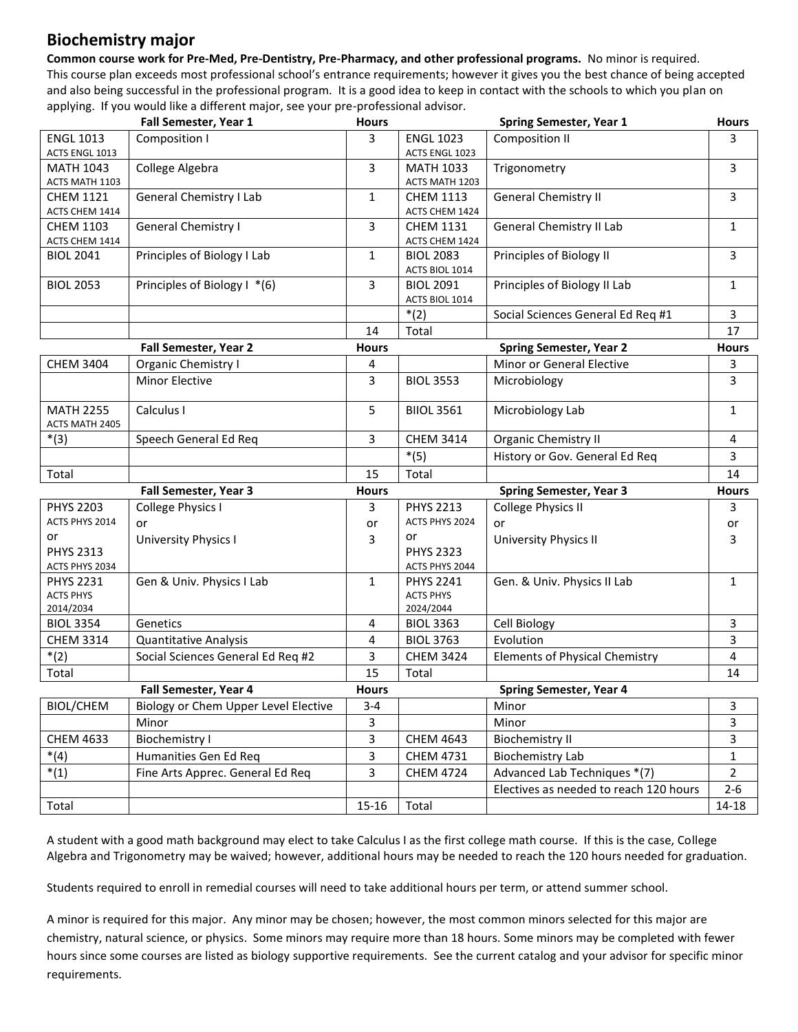## **Biochemistry major**

**Common course work for Pre-Med, Pre-Dentistry, Pre-Pharmacy, and other professional programs.** No minor is required. This course plan exceeds most professional school's entrance requirements; however it gives you the best chance of being accepted and also being successful in the professional program. It is a good idea to keep in contact with the schools to which you plan on applying. If you would like a different major, see your pre-professional advisor.

|                  | Fall Semester, Year 1                | <b>Hours</b>   |                                    | <b>Spring Semester, Year 1</b>         | <b>Hours</b>         |
|------------------|--------------------------------------|----------------|------------------------------------|----------------------------------------|----------------------|
| <b>ENGL 1013</b> | Composition I                        | 3              | <b>ENGL 1023</b>                   | <b>Composition II</b>                  | 3                    |
| ACTS ENGL 1013   |                                      |                | ACTS ENGL 1023                     |                                        |                      |
| <b>MATH 1043</b> | College Algebra                      | 3              | <b>MATH 1033</b>                   | Trigonometry                           | 3                    |
| ACTS MATH 1103   |                                      |                | ACTS MATH 1203                     |                                        |                      |
| <b>CHEM 1121</b> | <b>General Chemistry I Lab</b>       | $\mathbf{1}$   | <b>CHEM 1113</b>                   | <b>General Chemistry II</b>            | 3                    |
| ACTS CHEM 1414   |                                      |                | ACTS CHEM 1424                     |                                        |                      |
| <b>CHEM 1103</b> | General Chemistry I                  | 3              | <b>CHEM 1131</b>                   | General Chemistry II Lab               | $\mathbf{1}$         |
| ACTS CHEM 1414   |                                      |                | ACTS CHEM 1424                     |                                        |                      |
| <b>BIOL 2041</b> | Principles of Biology I Lab          | 1              | <b>BIOL 2083</b>                   | Principles of Biology II               | 3                    |
|                  |                                      |                | ACTS BIOL 1014                     |                                        |                      |
| <b>BIOL 2053</b> | Principles of Biology I *(6)         | $\overline{3}$ | <b>BIOL 2091</b><br>ACTS BIOL 1014 | Principles of Biology II Lab           | $\mathbf{1}$         |
|                  |                                      |                | $*(2)$                             | Social Sciences General Ed Req #1      | 3                    |
|                  |                                      |                |                                    |                                        |                      |
|                  |                                      | 14             | Total                              |                                        | 17                   |
|                  | Fall Semester, Year 2                | <b>Hours</b>   |                                    | <b>Spring Semester, Year 2</b>         | <b>Hours</b>         |
| <b>CHEM 3404</b> | Organic Chemistry I                  | 4              |                                    | Minor or General Elective              | 3                    |
|                  | <b>Minor Elective</b>                | 3              | <b>BIOL 3553</b>                   | Microbiology                           | 3                    |
| <b>MATH 2255</b> | Calculus I                           | 5              | <b>BIIOL 3561</b>                  | Microbiology Lab                       | $\mathbf{1}$         |
| ACTS MATH 2405   |                                      |                |                                    |                                        |                      |
| $*(3)$           | Speech General Ed Req                | $\overline{3}$ | <b>CHEM 3414</b>                   | Organic Chemistry II                   | 4                    |
|                  |                                      |                | $*(5)$                             | History or Gov. General Ed Req         | 3                    |
|                  |                                      |                |                                    |                                        |                      |
| Total            |                                      | 15             | Total                              |                                        | 14                   |
|                  | Fall Semester, Year 3                | <b>Hours</b>   |                                    | <b>Spring Semester, Year 3</b>         | <b>Hours</b>         |
| <b>PHYS 2203</b> | College Physics I                    | 3              | <b>PHYS 2213</b>                   | <b>College Physics II</b>              | 3                    |
| ACTS PHYS 2014   | or                                   | or             | ACTS PHYS 2024                     | or                                     | or                   |
| or               |                                      | 3              | or                                 |                                        | 3                    |
| <b>PHYS 2313</b> | University Physics I                 |                | <b>PHYS 2323</b>                   | University Physics II                  |                      |
| ACTS PHYS 2034   |                                      |                | ACTS PHYS 2044                     |                                        |                      |
| <b>PHYS 2231</b> | Gen & Univ. Physics I Lab            | $\mathbf{1}$   | <b>PHYS 2241</b>                   | Gen. & Univ. Physics II Lab            | $\mathbf{1}$         |
| <b>ACTS PHYS</b> |                                      |                | <b>ACTS PHYS</b>                   |                                        |                      |
| 2014/2034        |                                      |                | 2024/2044                          |                                        |                      |
| <b>BIOL 3354</b> | Genetics                             | 4              | <b>BIOL 3363</b>                   | Cell Biology                           | 3                    |
| <b>CHEM 3314</b> | Quantitative Analysis                | 4              | <b>BIOL 3763</b>                   | Evolution                              | 3                    |
| $*(2)$           | Social Sciences General Ed Req #2    | 3              | <b>CHEM 3424</b>                   | <b>Elements of Physical Chemistry</b>  | 4                    |
| Total            |                                      | 15             | Total                              |                                        | 14                   |
|                  | Fall Semester, Year 4                | <b>Hours</b>   |                                    | <b>Spring Semester, Year 4</b>         |                      |
| <b>BIOL/CHEM</b> | Biology or Chem Upper Level Elective | $3 - 4$        |                                    | Minor                                  | 3                    |
|                  | Minor                                | 3              |                                    | Minor                                  | 3                    |
|                  |                                      |                |                                    |                                        |                      |
| <b>CHEM 4633</b> | <b>Biochemistry I</b>                | 3              | <b>CHEM 4643</b>                   | <b>Biochemistry II</b>                 | 3                    |
| $*(4)$           | Humanities Gen Ed Req                | 3              | <b>CHEM 4731</b>                   | <b>Biochemistry Lab</b>                | $\mathbf 1$          |
| $*(1)$           | Fine Arts Apprec. General Ed Req     | 3              | <b>CHEM 4724</b>                   | Advanced Lab Techniques *(7)           | $\overline{2}$       |
| Total            |                                      | $15 - 16$      | Total                              | Electives as needed to reach 120 hours | $2 - 6$<br>$14 - 18$ |

A student with a good math background may elect to take Calculus I as the first college math course. If this is the case, College Algebra and Trigonometry may be waived; however, additional hours may be needed to reach the 120 hours needed for graduation.

Students required to enroll in remedial courses will need to take additional hours per term, or attend summer school.

A minor is required for this major. Any minor may be chosen; however, the most common minors selected for this major are chemistry, natural science, or physics. Some minors may require more than 18 hours. Some minors may be completed with fewer hours since some courses are listed as biology supportive requirements. See the current catalog and your advisor for specific minor requirements.